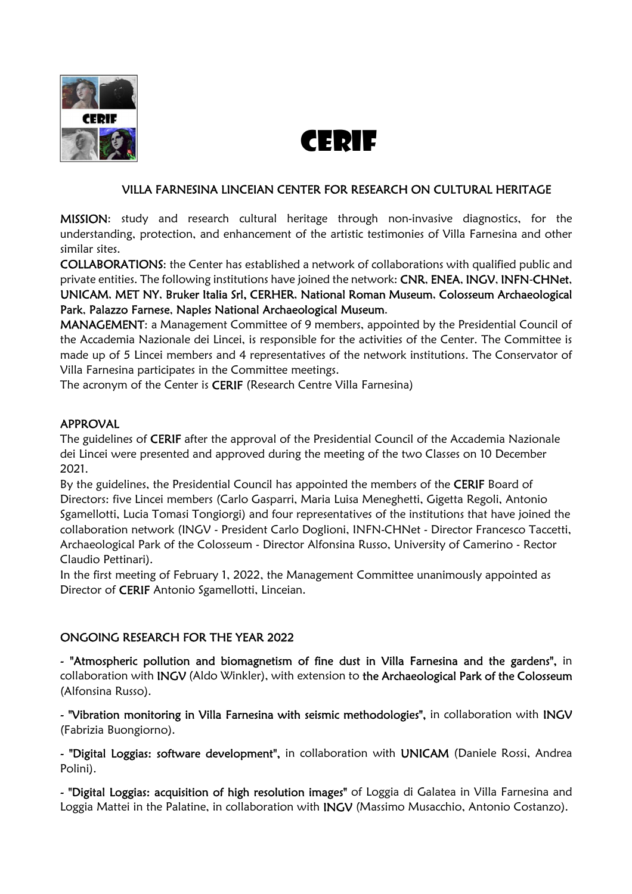

# CERIF

#### VILLA FARNESINA LINCEIAN CENTER FOR RESEARCH ON CULTURAL HERITAGE

MISSION: study and research cultural heritage through non-invasive diagnostics, for the understanding, protection, and enhancement of the artistic testimonies of Villa Farnesina and other similar sites.

COLLABORATIONS: the Center has established a network of collaborations with qualified public and private entities. The following institutions have joined the network: CNR, ENEA, INGV, INFN-CHNet, UNICAM, MET NY, Bruker Italia Srl, CERHER, National Roman Museum, Colosseum Archaeological Park, Palazzo Farnese, Naples National Archaeological Museum.

MANAGEMENT: a Management Committee of 9 members, appointed by the Presidential Council of the Accademia Nazionale dei Lincei, is responsible for the activities of the Center. The Committee is made up of 5 Lincei members and 4 representatives of the network institutions. The Conservator of Villa Farnesina participates in the Committee meetings.

The acronym of the Center is CERIF (Research Centre Villa Farnesina)

#### APPROVAL

The guidelines of CERIF after the approval of the Presidential Council of the Accademia Nazionale dei Lincei were presented and approved during the meeting of the two Classes on 10 December 2021.

By the guidelines, the Presidential Council has appointed the members of the CERIF Board of Directors: five Lincei members (Carlo Gasparri, Maria Luisa Meneghetti, Gigetta Regoli, Antonio Sgamellotti, Lucia Tomasi Tongiorgi) and four representatives of the institutions that have joined the collaboration network (INGV - President Carlo Doglioni, INFN-CHNet - Director Francesco Taccetti, Archaeological Park of the Colosseum - Director Alfonsina Russo, University of Camerino - Rector Claudio Pettinari).

In the first meeting of February 1, 2022, the Management Committee unanimously appointed as Director of CERIF Antonio Sgamellotti, Linceian.

#### ONGOING RESEARCH FOR THE YEAR 2022

- "Atmospheric pollution and biomagnetism of fine dust in Villa Farnesina and the gardens", in collaboration with INGV (Aldo Winkler), with extension to the Archaeological Park of the Colosseum (Alfonsina Russo).

- "Vibration monitoring in Villa Farnesina with seismic methodologies", in collaboration with INGV (Fabrizia Buongiorno).

- "Digital Loggias: software development", in collaboration with UNICAM (Daniele Rossi, Andrea Polini).

- "Digital Loggias: acquisition of high resolution images" of Loggia di Galatea in Villa Farnesina and Loggia Mattei in the Palatine, in collaboration with **INGV** (Massimo Musacchio, Antonio Costanzo).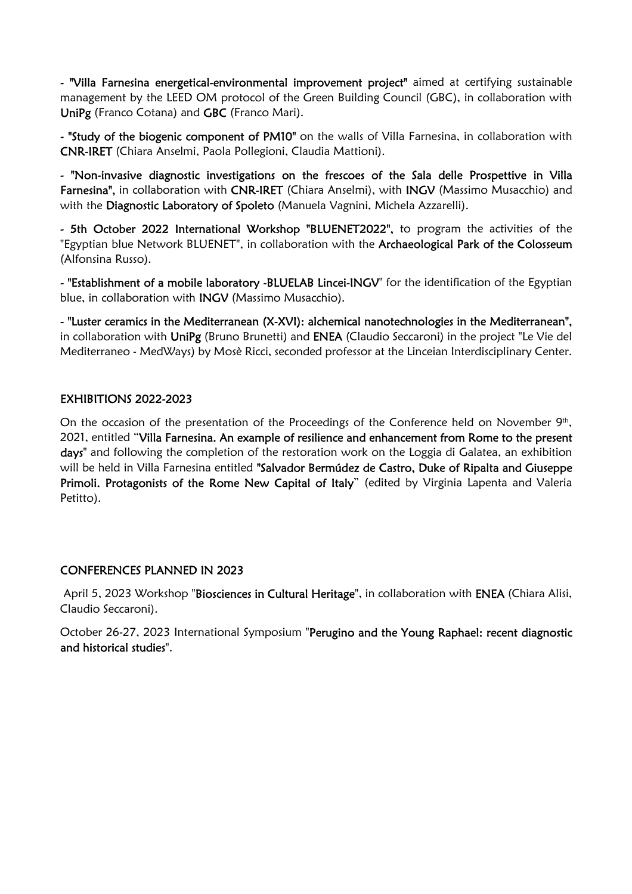- "Villa Farnesina energetical-environmental improvement project" aimed at certifying sustainable management by the LEED OM protocol of the Green Building Council (GBC), in collaboration with UniPg (Franco Cotana) and GBC (Franco Mari).

- "Study of the biogenic component of PM10" on the walls of Villa Farnesina, in collaboration with CNR-IRET (Chiara Anselmi, Paola Pollegioni, Claudia Mattioni).

- "Non-invasive diagnostic investigations on the frescoes of the Sala delle Prospettive in Villa Farnesina", in collaboration with CNR-IRET (Chiara Anselmi), with INGV (Massimo Musacchio) and with the Diagnostic Laboratory of Spoleto (Manuela Vagnini, Michela Azzarelli).

- 5th October 2022 International Workshop "BLUENET2022", to program the activities of the "Egyptian blue Network BLUENET", in collaboration with the Archaeological Park of the Colosseum (Alfonsina Russo).

- "Establishment of a mobile laboratory -BLUELAB Lincei-INGV" for the identification of the Egyptian blue, in collaboration with INGV (Massimo Musacchio).

- "Luster ceramics in the Mediterranean (X-XVI): alchemical nanotechnologies in the Mediterranean", in collaboration with UniPg (Bruno Brunetti) and ENEA (Claudio Seccaroni) in the project "Le Vie del Mediterraneo - MedWays) by Mosè Ricci, seconded professor at the Linceian Interdisciplinary Center.

#### EXHIBITIONS 2022-2023

On the occasion of the presentation of the Proceedings of the Conference held on November  $9<sup>th</sup>$ , 2021, entitled "Villa Farnesina. An example of resilience and enhancement from Rome to the present days" and following the completion of the restoration work on the Loggia di Galatea, an exhibition will be held in Villa Farnesina entitled "Salvador Bermúdez de Castro, Duke of Ripalta and Giuseppe Primoli. Protagonists of the Rome New Capital of Italy" (edited by Virginia Lapenta and Valeria Petitto).

#### CONFERENCES PLANNED IN 2023

April 5, 2023 Workshop "Biosciences in Cultural Heritage", in collaboration with ENEA (Chiara Alisi, Claudio Seccaroni).

October 26-27, 2023 International Symposium "Perugino and the Young Raphael: recent diagnostic and historical studies".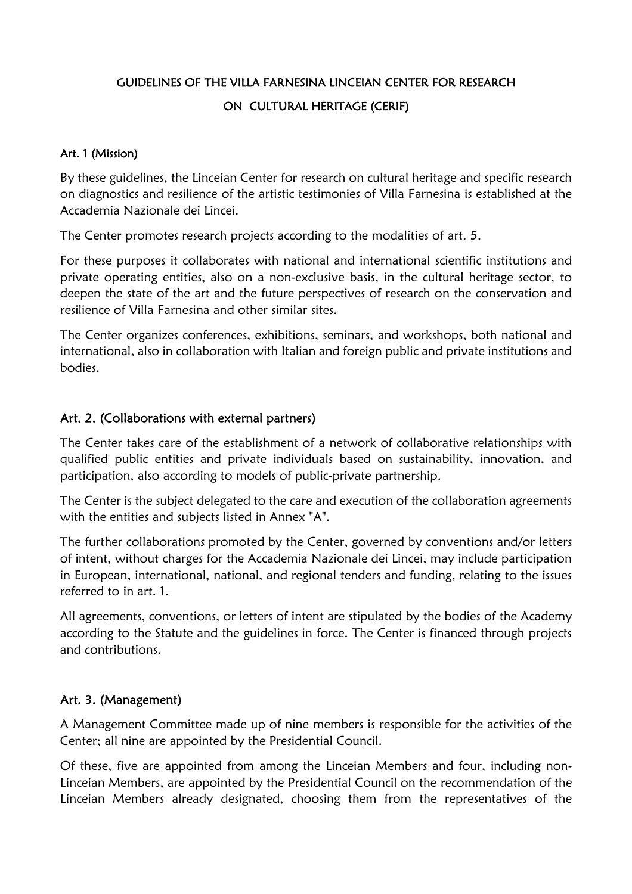# GUIDELINES OF THE VILLA FARNESINA LINCEIAN CENTER FOR RESEARCH ON CULTURAL HERITAGE (CERIF)

#### Art. 1 (Mission)

By these guidelines, the Linceian Center for research on cultural heritage and specific research on diagnostics and resilience of the artistic testimonies of Villa Farnesina is established at the Accademia Nazionale dei Lincei.

The Center promotes research projects according to the modalities of art. 5.

For these purposes it collaborates with national and international scientific institutions and private operating entities, also on a non-exclusive basis, in the cultural heritage sector, to deepen the state of the art and the future perspectives of research on the conservation and resilience of Villa Farnesina and other similar sites.

The Center organizes conferences, exhibitions, seminars, and workshops, both national and international, also in collaboration with Italian and foreign public and private institutions and bodies.

#### Art. 2. (Collaborations with external partners)

The Center takes care of the establishment of a network of collaborative relationships with qualified public entities and private individuals based on sustainability, innovation, and participation, also according to models of public-private partnership.

The Center is the subject delegated to the care and execution of the collaboration agreements with the entities and subjects listed in Annex "A".

The further collaborations promoted by the Center, governed by conventions and/or letters of intent, without charges for the Accademia Nazionale dei Lincei, may include participation in European, international, national, and regional tenders and funding, relating to the issues referred to in art. 1.

All agreements, conventions, or letters of intent are stipulated by the bodies of the Academy according to the Statute and the guidelines in force. The Center is financed through projects and contributions.

#### Art. 3. (Management)

A Management Committee made up of nine members is responsible for the activities of the Center; all nine are appointed by the Presidential Council.

Of these, five are appointed from among the Linceian Members and four, including non-Linceian Members, are appointed by the Presidential Council on the recommendation of the Linceian Members already designated, choosing them from the representatives of the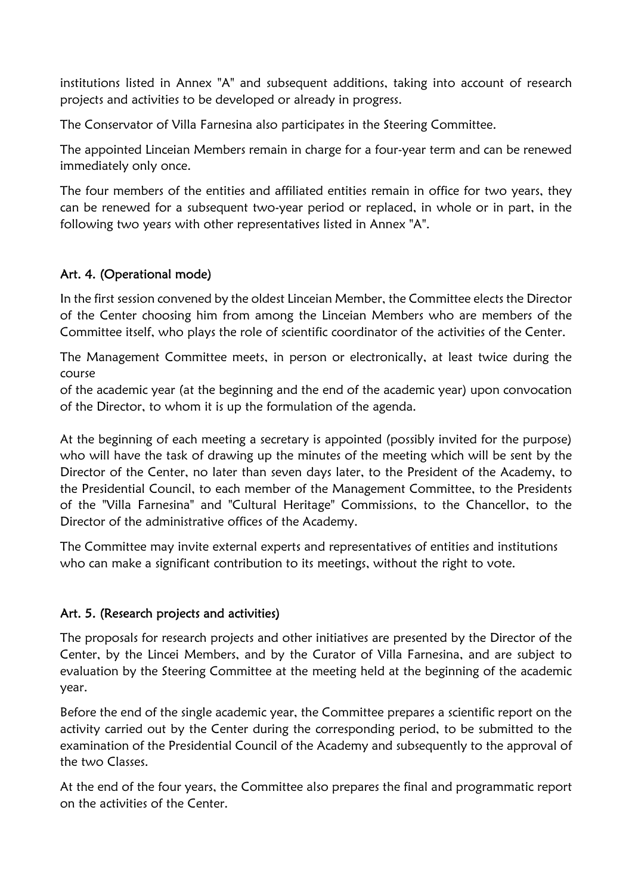institutions listed in Annex "A" and subsequent additions, taking into account of research projects and activities to be developed or already in progress.

The Conservator of Villa Farnesina also participates in the Steering Committee.

The appointed Linceian Members remain in charge for a four-year term and can be renewed immediately only once.

The four members of the entities and affiliated entities remain in office for two years, they can be renewed for a subsequent two-year period or replaced, in whole or in part, in the following two years with other representatives listed in Annex "A".

# Art. 4. (Operational mode)

In the first session convened by the oldest Linceian Member, the Committee elects the Director of the Center choosing him from among the Linceian Members who are members of the Committee itself, who plays the role of scientific coordinator of the activities of the Center.

The Management Committee meets, in person or electronically, at least twice during the course

of the academic year (at the beginning and the end of the academic year) upon convocation of the Director, to whom it is up the formulation of the agenda.

At the beginning of each meeting a secretary is appointed (possibly invited for the purpose) who will have the task of drawing up the minutes of the meeting which will be sent by the Director of the Center, no later than seven days later, to the President of the Academy, to the Presidential Council, to each member of the Management Committee, to the Presidents of the "Villa Farnesina" and "Cultural Heritage" Commissions, to the Chancellor, to the Director of the administrative offices of the Academy.

The Committee may invite external experts and representatives of entities and institutions who can make a significant contribution to its meetings, without the right to vote.

## Art. 5. (Research projects and activities)

The proposals for research projects and other initiatives are presented by the Director of the Center, by the Lincei Members, and by the Curator of Villa Farnesina, and are subject to evaluation by the Steering Committee at the meeting held at the beginning of the academic year.

Before the end of the single academic year, the Committee prepares a scientific report on the activity carried out by the Center during the corresponding period, to be submitted to the examination of the Presidential Council of the Academy and subsequently to the approval of the two Classes.

At the end of the four years, the Committee also prepares the final and programmatic report on the activities of the Center.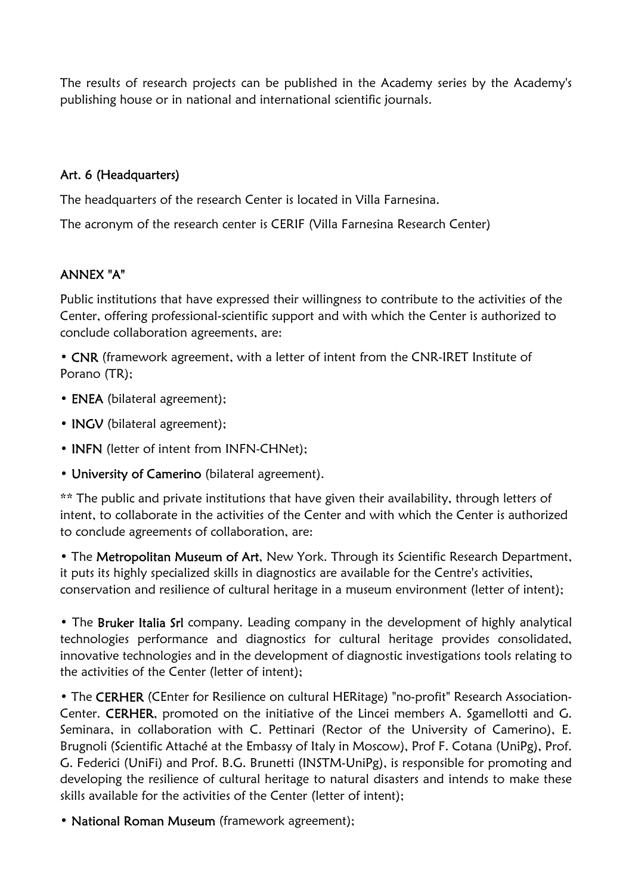The results of research projects can be published in the Academy series by the Academy's publishing house or in national and international scientific journals.

### Art. 6 (Headquarters)

The headquarters of the research Center is located in Villa Farnesina.

The acronym of the research center is CERIF (Villa Farnesina Research Center)

# ANNEX "A"

Public institutions that have expressed their willingness to contribute to the activities of the Center, offering professional-scientific support and with which the Center is authorized to conclude collaboration agreements, are:

• CNR (framework agreement, with a letter of intent from the CNR-IRET Institute of Porano (TR);

- ENEA (bilateral agreement);
- **INGV** (bilateral agreement);
- **INFN** (letter of intent from INFN-CHNet);
- University of Camerino (bilateral agreement).

\*\* The public and private institutions that have given their availability, through letters of intent, to collaborate in the activities of the Center and with which the Center is authorized to conclude agreements of collaboration, are:

• The Metropolitan Museum of Art, New York. Through its Scientific Research Department, it puts its highly specialized skills in diagnostics are available for the Centre's activities, conservation and resilience of cultural heritage in a museum environment (letter of intent);

• The Bruker Italia Srl company. Leading company in the development of highly analytical technologies performance and diagnostics for cultural heritage provides consolidated, innovative technologies and in the development of diagnostic investigations tools relating to the activities of the Center (letter of intent);

• The CERHER (CEnter for Resilience on cultural HERitage) "no-profit" Research Association-Center. CERHER, promoted on the initiative of the Lincei members A. Sgamellotti and G. Seminara, in collaboration with C. Pettinari (Rector of the University of Camerino), E. Brugnoli (Scientific Attaché at the Embassy of Italy in Moscow), Prof F. Cotana (UniPg), Prof. G. Federici (UniFi) and Prof. B.G. Brunetti (INSTM-UniPg), is responsible for promoting and developing the resilience of cultural heritage to natural disasters and intends to make these skills available for the activities of the Center (letter of intent);

• National Roman Museum (framework agreement);